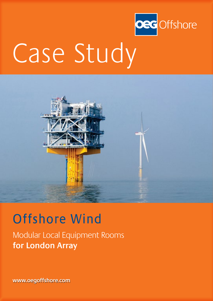

# Case Study



## Offshore Wind

Modular Local Equipment Rooms **for London Array**

**www.oegoffshore.com**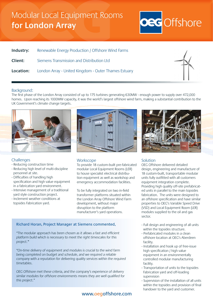### Modular Local Equipment Rooms **for London Array**



| Industry: | Renewable Energy Production / Offshore Wind Farms                     |
|-----------|-----------------------------------------------------------------------|
| Client:   | Siemens Transmission and Distribution Ltd                             |
|           | <b>Location:</b> London Array - United Kingdom - Outer Thames Estuary |



#### Background:

The first phase of the London Array consisted of up to 175 turbines generating 630MW - enough power to supply over 472,000 homes. Upon reaching its 1000MW capacity, it was the world's largest offshore wind farm, making a substantial contribution to the UK Government's climate change targets.



#### **Challenges**

- Reducing construction time
- Reducing high level of multi-discipline personnel at site.
- Difficulties of handling high specification and high value equipment in a fabrication yard environment.
- Intensive management of a traditional yard style construction project.
- Inclement weather conditions at topsides Fabrication yard.





To provide 18 custom-built pre-fabricated modular Local Equipment Rooms (LER) to house specialist electrical distribution equipment as well as workshop and emergency accommodation facilities.

To be fully integrated on two in-field transformer platforms situated within the London Array Offshore Wind Farm development, without major disruption to the platform manufacturer's yard operations.

#### Richard Horan, Project Manager at Siemens commented,

"The modular approach has been chosen as it allows a fast and efficient platform build which is necessary to meet the right timescales for this project."

"On-time delivery of equipment and modules is crucial to the wind farm being completed on budget and schedule, and we required a reliable company with a reputation for delivering quality services within the required timetables.

OEG Offshore met these criteria, and the company's experience of delivery similar modules for offshore environments means they are well qualified for this project."

#### www.oegoffshore.com



#### Solution

OEG Offshore delivered detailed design, engineering and manufacture of 18 custom-built, transportable modular units fully outfitted with all customers equipment integration complete. Providing high quality off-site prefabricated units in parallel to the main topsides fabrication. The units were designed to an offshore specification and have similar properties to OEG's Variable Speed Drive (VSD) and Local Equipment Room (LER) modules supplied to the oil and gas sector.

- Full design and engineering of all units within the topsides structure.
- Prefabricated modules in a clean offshore location at OEG's Aberdeen facility.
- Installation and hook up of free-issue high specification / high value equipment in an environmentally controlled modular manufacturing facility.
- Transportation of units to the topsides Fabrication yard and off-loading supervision
- Supervision of the installation of all units within the topsides and provision of final handover to the yard and customer.